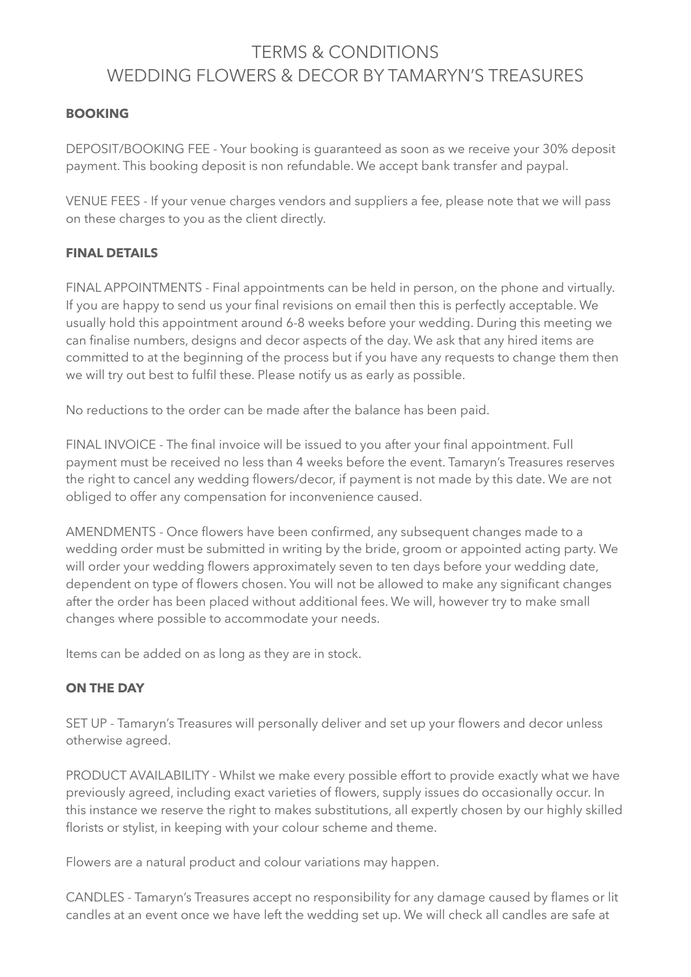# TERMS & CONDITIONS WEDDING FLOWERS & DECOR BY TAMARYN'S TREASURES

## **BOOKING**

DEPOSIT/BOOKING FEE - Your booking is guaranteed as soon as we receive your 30% deposit payment. This booking deposit is non refundable. We accept bank transfer and paypal.

VENUE FEES - If your venue charges vendors and suppliers a fee, please note that we will pass on these charges to you as the client directly.

### **FINAL DETAILS**

FINAL APPOINTMENTS - Final appointments can be held in person, on the phone and virtually. If you are happy to send us your final revisions on email then this is perfectly acceptable. We usually hold this appointment around 6-8 weeks before your wedding. During this meeting we can finalise numbers, designs and decor aspects of the day. We ask that any hired items are committed to at the beginning of the process but if you have any requests to change them then we will try out best to fulfil these. Please notify us as early as possible.

No reductions to the order can be made after the balance has been paid.

FINAL INVOICE - The final invoice will be issued to you after your final appointment. Full payment must be received no less than 4 weeks before the event. Tamaryn's Treasures reserves the right to cancel any wedding flowers/decor, if payment is not made by this date. We are not obliged to offer any compensation for inconvenience caused.

AMENDMENTS - Once flowers have been confirmed, any subsequent changes made to a wedding order must be submitted in writing by the bride, groom or appointed acting party. We will order your wedding flowers approximately seven to ten days before your wedding date, dependent on type of flowers chosen. You will not be allowed to make any significant changes after the order has been placed without additional fees. We will, however try to make small changes where possible to accommodate your needs.

Items can be added on as long as they are in stock.

### **ON THE DAY**

SET UP - Tamaryn's Treasures will personally deliver and set up your flowers and decor unless otherwise agreed.

PRODUCT AVAILABILITY - Whilst we make every possible effort to provide exactly what we have previously agreed, including exact varieties of flowers, supply issues do occasionally occur. In this instance we reserve the right to makes substitutions, all expertly chosen by our highly skilled florists or stylist, in keeping with your colour scheme and theme.

Flowers are a natural product and colour variations may happen.

CANDLES - Tamaryn's Treasures accept no responsibility for any damage caused by flames or lit candles at an event once we have left the wedding set up. We will check all candles are safe at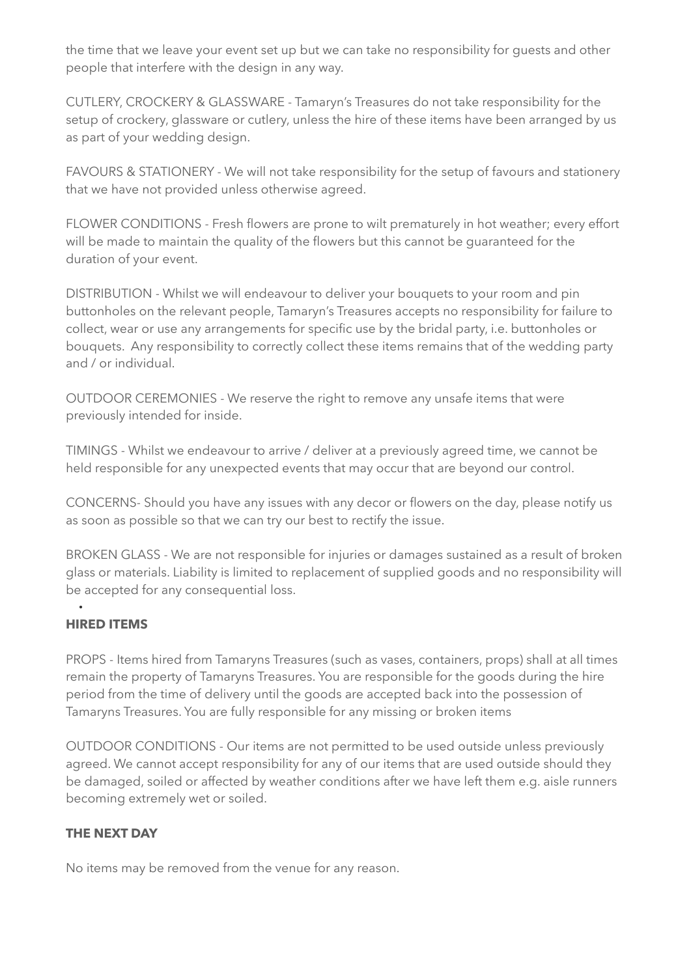the time that we leave your event set up but we can take no responsibility for guests and other people that interfere with the design in any way.

CUTLERY, CROCKERY & GLASSWARE - Tamaryn's Treasures do not take responsibility for the setup of crockery, glassware or cutlery, unless the hire of these items have been arranged by us as part of your wedding design.

FAVOURS & STATIONERY - We will not take responsibility for the setup of favours and stationery that we have not provided unless otherwise agreed.

FLOWER CONDITIONS - Fresh flowers are prone to wilt prematurely in hot weather; every effort will be made to maintain the quality of the flowers but this cannot be guaranteed for the duration of your event.

DISTRIBUTION - Whilst we will endeavour to deliver your bouquets to your room and pin buttonholes on the relevant people, Tamaryn's Treasures accepts no responsibility for failure to collect, wear or use any arrangements for specific use by the bridal party, i.e. buttonholes or bouquets. Any responsibility to correctly collect these items remains that of the wedding party and / or individual.

OUTDOOR CEREMONIES - We reserve the right to remove any unsafe items that were previously intended for inside.

TIMINGS - Whilst we endeavour to arrive / deliver at a previously agreed time, we cannot be held responsible for any unexpected events that may occur that are beyond our control.

CONCERNS- Should you have any issues with any decor or flowers on the day, please notify us as soon as possible so that we can try our best to rectify the issue.

BROKEN GLASS - We are not responsible for injuries or damages sustained as a result of broken glass or materials. Liability is limited to replacement of supplied goods and no responsibility will be accepted for any consequential loss.

#### • **HIRED ITEMS**

PROPS - Items hired from Tamaryns Treasures (such as vases, containers, props) shall at all times remain the property of Tamaryns Treasures. You are responsible for the goods during the hire period from the time of delivery until the goods are accepted back into the possession of Tamaryns Treasures. You are fully responsible for any missing or broken items

OUTDOOR CONDITIONS - Our items are not permitted to be used outside unless previously agreed. We cannot accept responsibility for any of our items that are used outside should they be damaged, soiled or affected by weather conditions after we have left them e.g. aisle runners becoming extremely wet or soiled.

## **THE NEXT DAY**

No items may be removed from the venue for any reason.